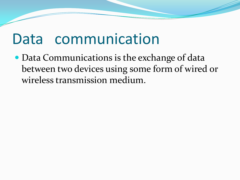### Data communication

• Data Communications is the exchange of data between two devices using some form of wired or wireless transmission medium.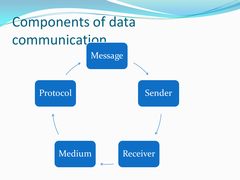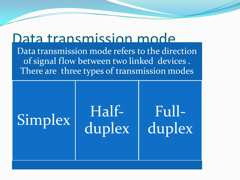### Data transmission mode

Data transmission mode refers to the direction of signal flow between two linked devices . There are three types of transmission modes

## Simplex Halfduplex Fullduplex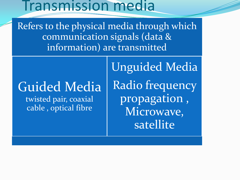### Transmission media

Refers to the physical media through which communication signals (data & information) are transmitted

# Guided Media

twisted pair, coaxial cable , optical fibre

Unguided Media Radio frequency propagation , Microwave, satellite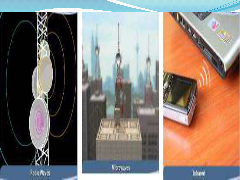



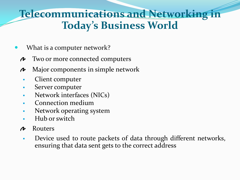### **Telecommunications and Networking in Today's Business World**

- What is a computer network?
	- Two or more connected computers  $\boldsymbol{\mu}$
	- Major components in simple network N
		- Client computer
		- Server computer
		- Network interfaces (NICs)
		- Connection medium
		- **Network operating system**
		- Hub or switch
	- Routers  $\boldsymbol{\mu}$ 
		- **Device used to route packets of data through different networks,** ensuring that data sent gets to the correct address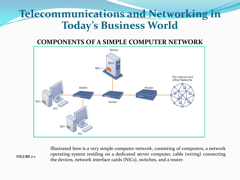### **Telecommunications and Networking in Today's Business World**

#### **COMPONENTS OF A SIMPLE COMPUTER NETWORK**



Illustrated here is a very simple computer network, consisting of computers, a network operating system residing on a dedicated server computer, cable (wiring) connecting the devices, network interface cards (NICs), switches, and a router.

**FIGURE 7-1**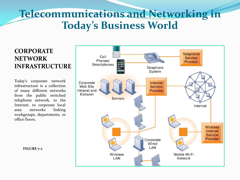### **Telecommunications and Networking in Today's Business World**

#### **CORPORATE NETWORK INFRASTRUCTURE**

Today's corporate network infrastructure is a collection of many different networks from the public switched telephone network, to the Internet, to corporate local area networks linking workgroups, departments, or office floors.



**FIGURE 7-2**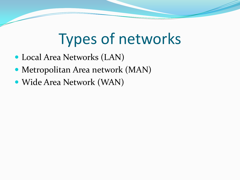## Types of networks

- Local Area Networks (LAN)
- Metropolitan Area network (MAN)
- Wide Area Network (WAN)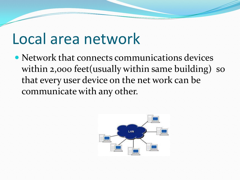### Local area network

• Network that connects communications devices within 2,000 feet (usually within same building) so that every user device on the net work can be communicate with any other.

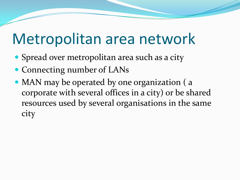## Metropolitan area network

- Spread over metropolitan area such as a city
- Connecting number of LANs
- MAN may be operated by one organization (a corporate with several offices in a city) or be shared resources used by several organisations in the same city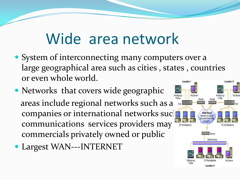### Wide area network

- System of interconnecting many computers over a large geographical area such as cities , states , countries or even whole world. Location
- Networks that covers wide geographic areas include regional networks such as a companies or international networks such as  $\frac{1}{\sqrt{2}}$ communications services providers may commercials privately owned or public
- Largest WAN---INTERNET

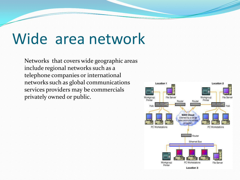## Wide area network

Networks that covers wide geographic areas include regional networks such as a telephone companies or international networks such as global communications services providers may be commercials privately owned or public.

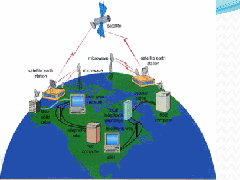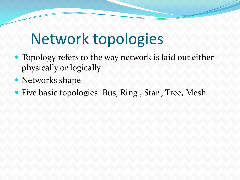## Network topologies

- Topology refers to the way network is laid out either physically or logically
- Networks shape
- Five basic topologies: Bus, Ring, Star, Tree, Mesh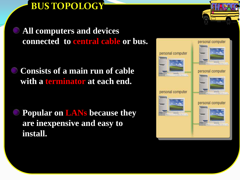**BUS TOPOLOGY**

**All computers and devices connected to central cable or bus.**

**Consists of a main run of cable with a terminator at each end.** 

**Popular on LANs because they are inexpensive and easy to install.**



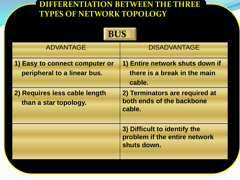#### **DIFFERENTIATION BETWEEN THE THREE TYPES OF NETWORK TOPOLOGY**

**BUS** 

| BUS                                                                                                                     |                                                                                                                                                    |
|-------------------------------------------------------------------------------------------------------------------------|----------------------------------------------------------------------------------------------------------------------------------------------------|
| <b>ADVANTAGE</b>                                                                                                        | <b>DISADVANTAGE</b>                                                                                                                                |
| 1) Easy to connect computer or<br>peripheral to a linear bus.<br>2) Requires less cable length<br>than a star topology. | 1) Entire network shuts down if<br>there is a break in the main<br>cable.<br>2) Terminators are required at<br>both ends of the backbone<br>cable. |
|                                                                                                                         | 3) Difficult to identify the<br>problem if the entire network<br>shuts down.                                                                       |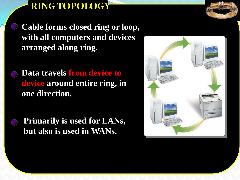**RING TOPOLOGY**

**Cable forms closed ring or loop, with all computers and devices arranged along ring.**

- **Data travels from device to device around entire ring, in one direction.**
- **Primarily is used for LANs, but also is used in WANs.**

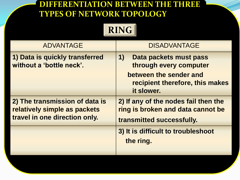#### **DIFFERENTIATION BETWEEN THE THREE TYPES OF NETWORK TOPOLOGY**



| <b>ADVANTAGE</b>                                                                                | <b>DISADVANTAGE</b>                                                                                                               |
|-------------------------------------------------------------------------------------------------|-----------------------------------------------------------------------------------------------------------------------------------|
| 1) Data is quickly transferred<br>without a 'bottle neck'.                                      | 1)<br>Data packets must pass<br>through every computer<br>between the sender and<br>recipient therefore, this makes<br>it slower. |
| 2) The transmission of data is<br>relatively simple as packets<br>travel in one direction only. | 2) If any of the nodes fail then the<br>ring is broken and data cannot be<br>transmitted successfully.                            |
|                                                                                                 | 3) It is difficult to troubleshoot<br>the ring.                                                                                   |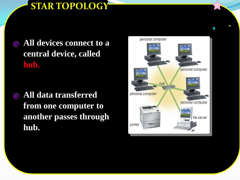### **STAR TOPOLOGY**

**All devices connect to a central device, called hub.**

**All data transferred from one computer to another passes through hub.**

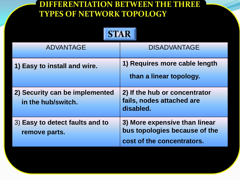#### **DIFFERENTIATION BETWEEN THE THREE TYPES OF NETWORK TOPOLOGY**

| <b>STAR</b>                                          |                                                                                              |
|------------------------------------------------------|----------------------------------------------------------------------------------------------|
| <b>ADVANTAGE</b>                                     | <b>DISADVANTAGE</b>                                                                          |
| 1) Easy to install and wire.                         | 1) Requires more cable length<br>than a linear topology.                                     |
| 2) Security can be implemented<br>in the hub/switch. | 2) If the hub or concentrator<br>fails, nodes attached are<br>disabled.                      |
| 3) Easy to detect faults and to<br>remove parts.     | 3) More expensive than linear<br>bus topologies because of the<br>cost of the concentrators. |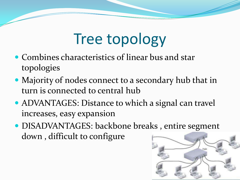## Tree topology

- Combines characteristics of linear bus and star topologies
- Majority of nodes connect to a secondary hub that in turn is connected to central hub
- ADVANTAGES: Distance to which a signal can travel increases, easy expansion
- DISADVANTAGES: backbone breaks , entire segment down , difficult to configure

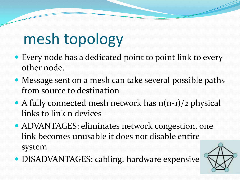## mesh topology

- Every node has a dedicated point to point link to every other node.
- Message sent on a mesh can take several possible paths from source to destination
- A fully connected mesh network has  $n(n-1)/2$  physical links to link n devices
- ADVANTAGES: eliminates network congestion, one link becomes unusable it does not disable entire system
- DISADVANTAGES: cabling, hardware expensive

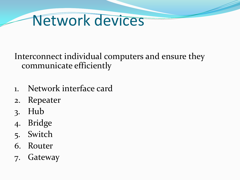### Network devices

Interconnect individual computers and ensure they communicate efficiently

- 1. Network interface card
- 2. Repeater
- 3. Hub
- 4. Bridge
- 5. Switch
- 6. Router
- 7. Gateway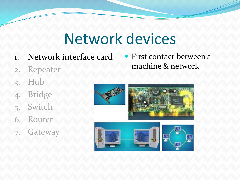## Network devices

- 1. Network interface card
- 2. Repeater
- 3. Hub
- 4. Bridge
- 5. Switch
- 6. Router
- 7. Gateway

 First contact between a machine & network

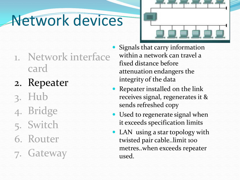# Network devices



- 1. Network interface card
- 2. Repeater
- 3. Hub
- 4. Bridge
- 5. Switch
- 6. Router
- 7. Gateway
- Signals that carry information within a network can travel a fixed distance before attenuation endangers the integrity of the data
- Repeater installed on the link receives signal, regenerates it & sends refreshed copy
- Used to regenerate signal when it exceeds specification limits
- LAN using a star topology with twisted pair cable..limit 100 metres..when exceeds repeater used.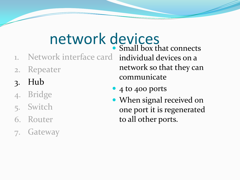# network devices

- 1. Network interface card individual devices on a
- 2. Repeater
- 3. Hub
- 4. Bridge
- 5. Switch
- 6. Router
- 7. Gateway

• Small box that connects network so that they can communicate

- 4 to 400 ports
- When signal received on one port it is regenerated to all other ports.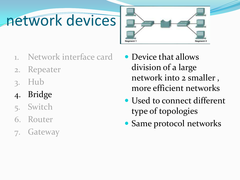# network devices



- Network interface card
- 2. Repeater
- 3. Hub
- 4. Bridge
- 5. Switch
- 6. Router
- 7. Gateway
- Device that allows division of a large network into 2 smaller , more efficient networks
- Used to connect different type of topologies
- Same protocol networks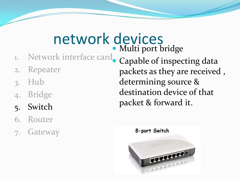#### network devices Multi port bridge

- 1. Network interface card
- 2. Repeater
- 3. Hub
- 4. Bridge
- 5. Switch
- 6. Router
- 7. Gateway

 Capable of inspecting data packets as they are received , determining source & destination device of that packet & forward it.

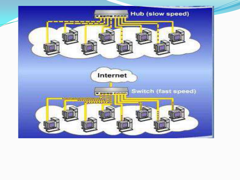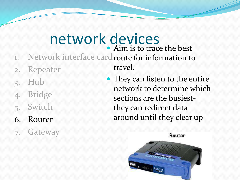#### network devices • Aim is to trace the best

travel.

- 1. Network interface card route for information to
- 2. Repeater
- 3. Hub
- 4. Bridge
- 5. Switch
- 6. Router
- 7. Gateway

• They can listen to the entire network to determine which sections are the busiestthey can redirect data around until they clear up